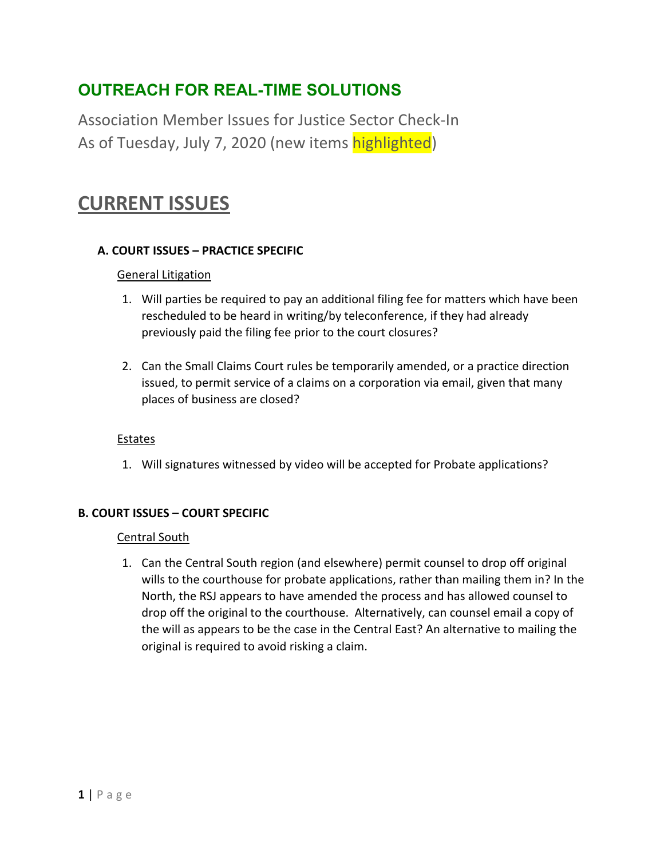## **OUTREACH FOR REAL-TIME SOLUTIONS**

Association Member Issues for Justice Sector Check-In As of Tuesday, July 7, 2020 (new items highlighted)

## **CURRENT ISSUES**

## **A. COURT ISSUES – PRACTICE SPECIFIC**

## General Litigation

- 1. Will parties be required to pay an additional filing fee for matters which have been rescheduled to be heard in writing/by teleconference, if they had already previously paid the filing fee prior to the court closures?
- 2. Can the Small Claims Court rules be temporarily amended, or a practice direction issued, to permit service of a claims on a corporation via email, given that many places of business are closed?

## **Estates**

1. Will signatures witnessed by video will be accepted for Probate applications?

## **B. COURT ISSUES – COURT SPECIFIC**

#### Central South

1. Can the Central South region (and elsewhere) permit counsel to drop off original wills to the courthouse for probate applications, rather than mailing them in? In the North, the RSJ appears to have amended the process and has allowed counsel to drop off the original to the courthouse. Alternatively, can counsel email a copy of the will as appears to be the case in the Central East? An alternative to mailing the original is required to avoid risking a claim.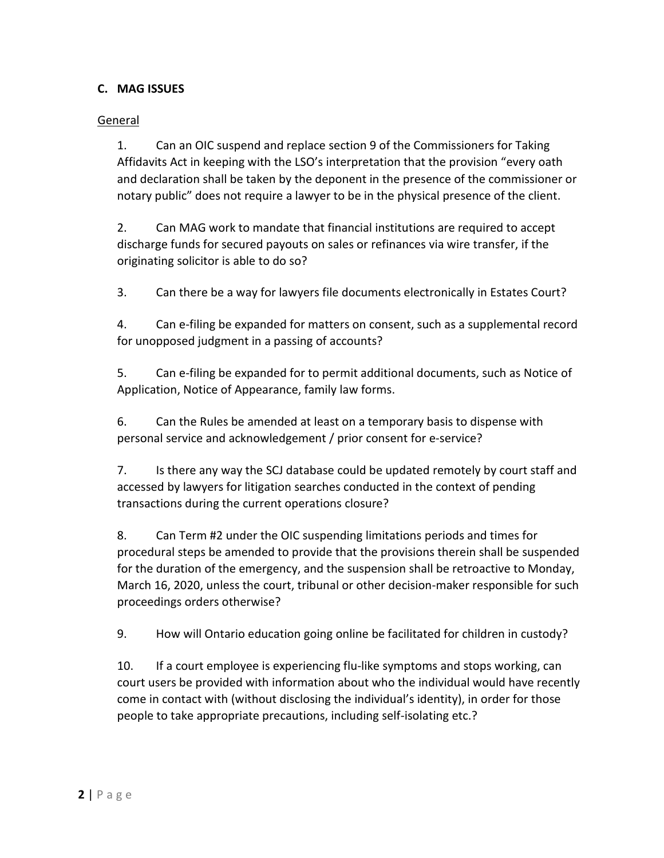## **C. MAG ISSUES**

### General

1. Can an OIC suspend and replace section 9 of the Commissioners for Taking Affidavits Act in keeping with the LSO's interpretation that the provision "every oath and declaration shall be taken by the deponent in the presence of the commissioner or notary public" does not require a lawyer to be in the physical presence of the client.

2. Can MAG work to mandate that financial institutions are required to accept discharge funds for secured payouts on sales or refinances via wire transfer, if the originating solicitor is able to do so?

3. Can there be a way for lawyers file documents electronically in Estates Court?

4. Can e-filing be expanded for matters on consent, such as a supplemental record for unopposed judgment in a passing of accounts?

5. Can e-filing be expanded for to permit additional documents, such as Notice of Application, Notice of Appearance, family law forms.

6. Can the Rules be amended at least on a temporary basis to dispense with personal service and acknowledgement / prior consent for e-service?

7. Is there any way the SCJ database could be updated remotely by court staff and accessed by lawyers for litigation searches conducted in the context of pending transactions during the current operations closure?

8. Can Term #2 under the OIC suspending limitations periods and times for procedural steps be amended to provide that the provisions therein shall be suspended for the duration of the emergency, and the suspension shall be retroactive to Monday, March 16, 2020, unless the court, tribunal or other decision-maker responsible for such proceedings orders otherwise?

9. How will Ontario education going online be facilitated for children in custody?

10. If a court employee is experiencing flu-like symptoms and stops working, can court users be provided with information about who the individual would have recently come in contact with (without disclosing the individual's identity), in order for those people to take appropriate precautions, including self-isolating etc.?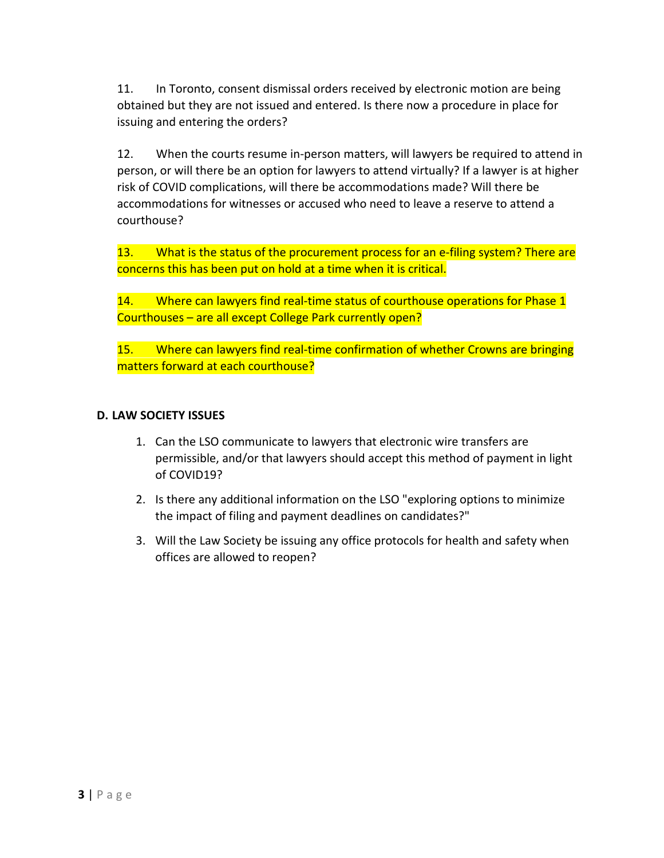11. In Toronto, consent dismissal orders received by electronic motion are being obtained but they are not issued and entered. Is there now a procedure in place for issuing and entering the orders?

12. When the courts resume in-person matters, will lawyers be required to attend in person, or will there be an option for lawyers to attend virtually? If a lawyer is at higher risk of COVID complications, will there be accommodations made? Will there be accommodations for witnesses or accused who need to leave a reserve to attend a courthouse?

13. What is the status of the procurement process for an e-filing system? There are concerns this has been put on hold at a time when it is critical.

14. Where can lawyers find real-time status of courthouse operations for Phase 1 Courthouses – are all except College Park currently open?

15. Where can lawyers find real-time confirmation of whether Crowns are bringing matters forward at each courthouse?

### **D. LAW SOCIETY ISSUES**

- 1. Can the LSO communicate to lawyers that electronic wire transfers are permissible, and/or that lawyers should accept this method of payment in light of COVID19?
- 2. Is there any additional information on the LSO "exploring options to minimize the impact of filing and payment deadlines on candidates?"
- 3. Will the Law Society be issuing any office protocols for health and safety when offices are allowed to reopen?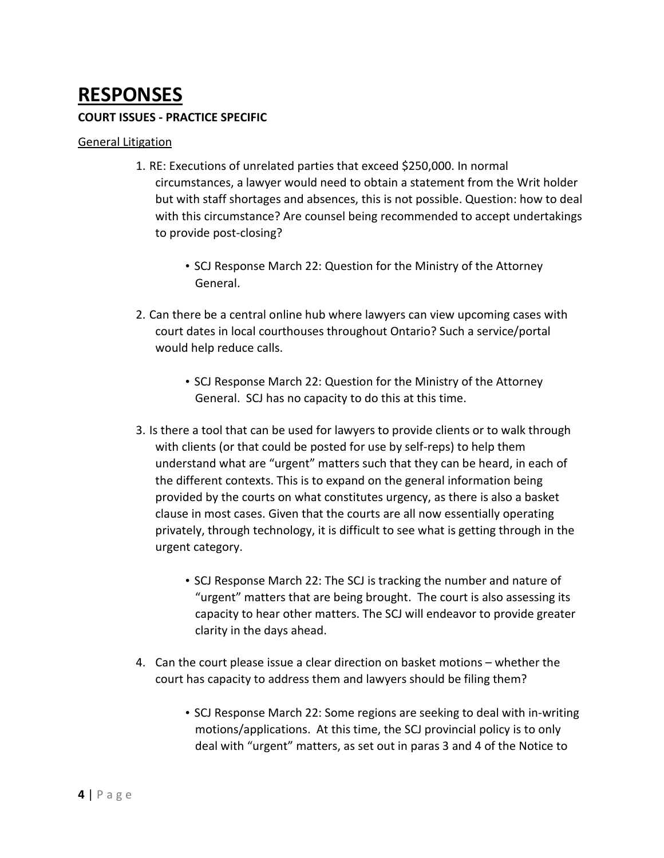# **RESPONSES**

#### **COURT ISSUES - PRACTICE SPECIFIC**

#### General Litigation

- 1. RE: Executions of unrelated parties that exceed \$250,000. In normal circumstances, a lawyer would need to obtain a statement from the Writ holder but with staff shortages and absences, this is not possible. Question: how to deal with this circumstance? Are counsel being recommended to accept undertakings to provide post-closing?
	- SCJ Response March 22: Question for the Ministry of the Attorney General.
- 2. Can there be a central online hub where lawyers can view upcoming cases with court dates in local courthouses throughout Ontario? Such a service/portal would help reduce calls.
	- SCJ Response March 22: Question for the Ministry of the Attorney General. SCJ has no capacity to do this at this time.
- 3. Is there a tool that can be used for lawyers to provide clients or to walk through with clients (or that could be posted for use by self-reps) to help them understand what are "urgent" matters such that they can be heard, in each of the different contexts. This is to expand on the general information being provided by the courts on what constitutes urgency, as there is also a basket clause in most cases. Given that the courts are all now essentially operating privately, through technology, it is difficult to see what is getting through in the urgent category.
	- SCJ Response March 22: The SCJ is tracking the number and nature of "urgent" matters that are being brought. The court is also assessing its capacity to hear other matters. The SCJ will endeavor to provide greater clarity in the days ahead.
- 4. Can the court please issue a clear direction on basket motions whether the court has capacity to address them and lawyers should be filing them?
	- SCJ Response March 22: Some regions are seeking to deal with in-writing motions/applications. At this time, the SCJ provincial policy is to only deal with "urgent" matters, as set out in paras 3 and 4 of the Notice to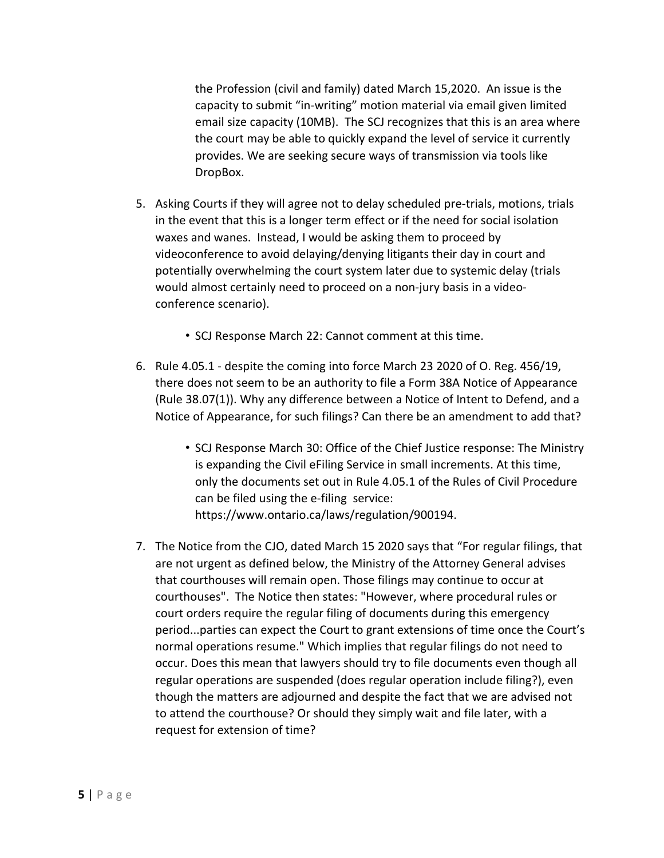the Profession (civil and family) dated March 15,2020. An issue is the capacity to submit "in-writing" motion material via email given limited email size capacity (10MB). The SCJ recognizes that this is an area where the court may be able to quickly expand the level of service it currently provides. We are seeking secure ways of transmission via tools like DropBox.

- 5. Asking Courts if they will agree not to delay scheduled pre-trials, motions, trials in the event that this is a longer term effect or if the need for social isolation waxes and wanes. Instead, I would be asking them to proceed by videoconference to avoid delaying/denying litigants their day in court and potentially overwhelming the court system later due to systemic delay (trials would almost certainly need to proceed on a non-jury basis in a videoconference scenario).
	- SCJ Response March 22: Cannot comment at this time.
- 6. Rule 4.05.1 despite the coming into force March 23 2020 of O. Reg. 456/19, there does not seem to be an authority to file a Form 38A Notice of Appearance (Rule 38.07(1)). Why any difference between a Notice of Intent to Defend, and a Notice of Appearance, for such filings? Can there be an amendment to add that?
	- SCJ Response March 30: Office of the Chief Justice response: The Ministry is expanding the Civil eFiling Service in small increments. At this time, only the documents set out in Rule 4.05.1 of the Rules of Civil Procedure can be filed using the e-filing service: https://www.ontario.ca/laws/regulation/900194.
- 7. The Notice from the CJO, dated March 15 2020 says that "For regular filings, that are not urgent as defined below, the Ministry of the Attorney General advises that courthouses will remain open. Those filings may continue to occur at courthouses". The Notice then states: "However, where procedural rules or court orders require the regular filing of documents during this emergency period...parties can expect the Court to grant extensions of time once the Court's normal operations resume." Which implies that regular filings do not need to occur. Does this mean that lawyers should try to file documents even though all regular operations are suspended (does regular operation include filing?), even though the matters are adjourned and despite the fact that we are advised not to attend the courthouse? Or should they simply wait and file later, with a request for extension of time?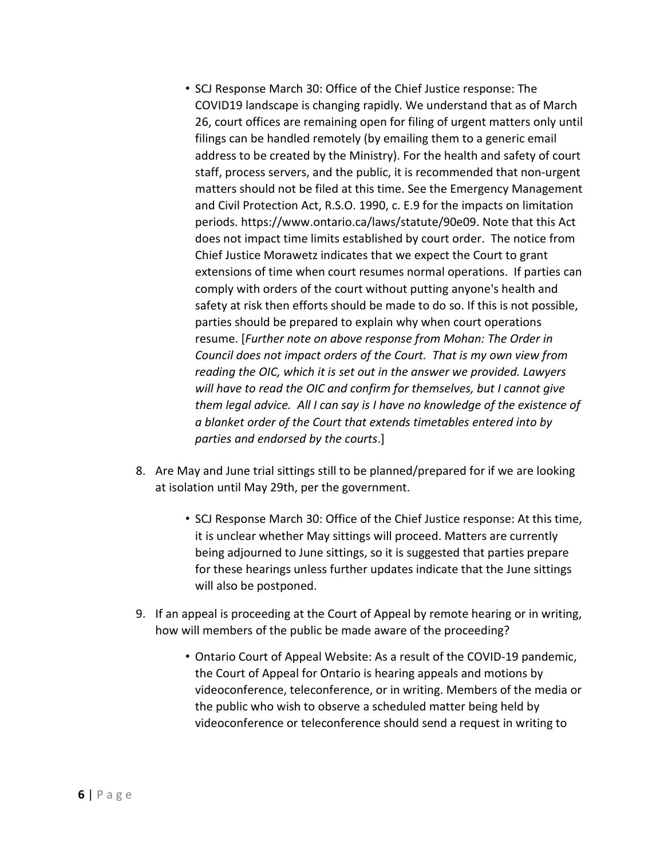- SCJ Response March 30: Office of the Chief Justice response: The COVID19 landscape is changing rapidly. We understand that as of March 26, court offices are remaining open for filing of urgent matters only until filings can be handled remotely (by emailing them to a generic email address to be created by the Ministry). For the health and safety of court staff, process servers, and the public, it is recommended that non-urgent matters should not be filed at this time. See the Emergency Management and Civil Protection Act, R.S.O. 1990, c. E.9 for the impacts on limitation periods. https://www.ontario.ca/laws/statute/90e09. Note that this Act does not impact time limits established by court order. The notice from Chief Justice Morawetz indicates that we expect the Court to grant extensions of time when court resumes normal operations. If parties can comply with orders of the court without putting anyone's health and safety at risk then efforts should be made to do so. If this is not possible, parties should be prepared to explain why when court operations resume. [*Further note on above response from Mohan: The Order in Council does not impact orders of the Court. That is my own view from reading the OIC, which it is set out in the answer we provided. Lawyers will have to read the OIC and confirm for themselves, but I cannot give them legal advice. All I can say is I have no knowledge of the existence of a blanket order of the Court that extends timetables entered into by parties and endorsed by the courts*.]
- 8. Are May and June trial sittings still to be planned/prepared for if we are looking at isolation until May 29th, per the government.
	- SCJ Response March 30: Office of the Chief Justice response: At this time, it is unclear whether May sittings will proceed. Matters are currently being adjourned to June sittings, so it is suggested that parties prepare for these hearings unless further updates indicate that the June sittings will also be postponed.
- 9. If an appeal is proceeding at the Court of Appeal by remote hearing or in writing, how will members of the public be made aware of the proceeding?
	- Ontario Court of Appeal Website: As a result of the COVID-19 pandemic, the Court of Appeal for Ontario is hearing appeals and motions by videoconference, teleconference, or in writing. Members of the media or the public who wish to observe a scheduled matter being held by videoconference or teleconference should send a request in writing to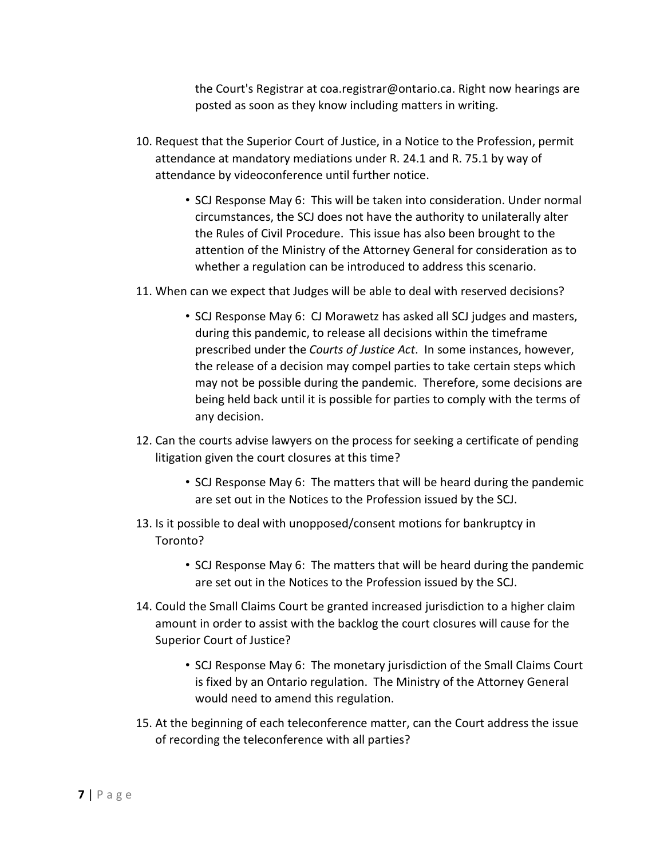the Court's Registrar at coa.registrar@ontario.ca. Right now hearings are posted as soon as they know including matters in writing.

- 10. Request that the Superior Court of Justice, in a Notice to the Profession, permit attendance at mandatory mediations under R. 24.1 and R. 75.1 by way of attendance by videoconference until further notice.
	- SCJ Response May 6: This will be taken into consideration. Under normal circumstances, the SCJ does not have the authority to unilaterally alter the Rules of Civil Procedure. This issue has also been brought to the attention of the Ministry of the Attorney General for consideration as to whether a regulation can be introduced to address this scenario.
- 11. When can we expect that Judges will be able to deal with reserved decisions?
	- SCJ Response May 6: CJ Morawetz has asked all SCJ judges and masters, during this pandemic, to release all decisions within the timeframe prescribed under the *Courts of Justice Act*. In some instances, however, the release of a decision may compel parties to take certain steps which may not be possible during the pandemic. Therefore, some decisions are being held back until it is possible for parties to comply with the terms of any decision.
- 12. Can the courts advise lawyers on the process for seeking a certificate of pending litigation given the court closures at this time?
	- SCJ Response May 6: The matters that will be heard during the pandemic are set out in the Notices to the Profession issued by the SCJ.
- 13. Is it possible to deal with unopposed/consent motions for bankruptcy in Toronto?
	- SCJ Response May 6: The matters that will be heard during the pandemic are set out in the Notices to the Profession issued by the SCJ.
- 14. Could the Small Claims Court be granted increased jurisdiction to a higher claim amount in order to assist with the backlog the court closures will cause for the Superior Court of Justice?
	- SCJ Response May 6: The monetary jurisdiction of the Small Claims Court is fixed by an Ontario regulation. The Ministry of the Attorney General would need to amend this regulation.
- 15. At the beginning of each teleconference matter, can the Court address the issue of recording the teleconference with all parties?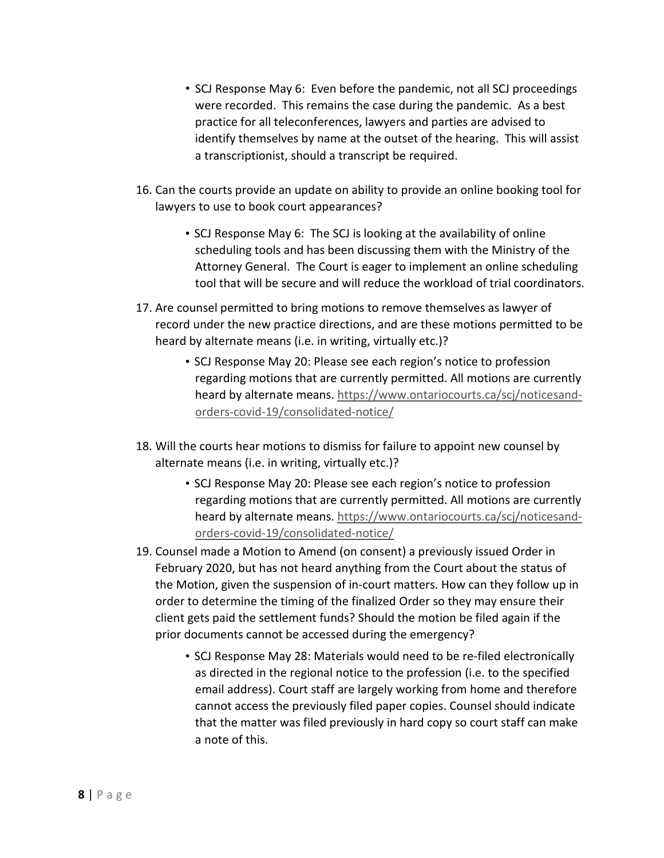- SCJ Response May 6: Even before the pandemic, not all SCJ proceedings were recorded. This remains the case during the pandemic. As a best practice for all teleconferences, lawyers and parties are advised to identify themselves by name at the outset of the hearing. This will assist a transcriptionist, should a transcript be required.
- 16. Can the courts provide an update on ability to provide an online booking tool for lawyers to use to book court appearances?
	- SCJ Response May 6: The SCJ is looking at the availability of online scheduling tools and has been discussing them with the Ministry of the Attorney General. The Court is eager to implement an online scheduling tool that will be secure and will reduce the workload of trial coordinators.
- 17. Are counsel permitted to bring motions to remove themselves as lawyer of record under the new practice directions, and are these motions permitted to be heard by alternate means (i.e. in writing, virtually etc.)?
	- SCJ Response May 20: Please see each region's notice to profession regarding motions that are currently permitted. All motions are currently heard by alternate means. https://www.ontariocourts.ca/scj/noticesandorders-covid-19/consolidated-notice/
- 18. Will the courts hear motions to dismiss for failure to appoint new counsel by alternate means (i.e. in writing, virtually etc.)?
	- SCJ Response May 20: Please see each region's notice to profession regarding motions that are currently permitted. All motions are currently heard by alternate means. https://www.ontariocourts.ca/scj/noticesandorders-covid-19/consolidated-notice/
- 19. Counsel made a Motion to Amend (on consent) a previously issued Order in February 2020, but has not heard anything from the Court about the status of the Motion, given the suspension of in-court matters. How can they follow up in order to determine the timing of the finalized Order so they may ensure their client gets paid the settlement funds? Should the motion be filed again if the prior documents cannot be accessed during the emergency?
	- SCJ Response May 28: Materials would need to be re-filed electronically as directed in the regional notice to the profession (i.e. to the specified email address). Court staff are largely working from home and therefore cannot access the previously filed paper copies. Counsel should indicate that the matter was filed previously in hard copy so court staff can make a note of this.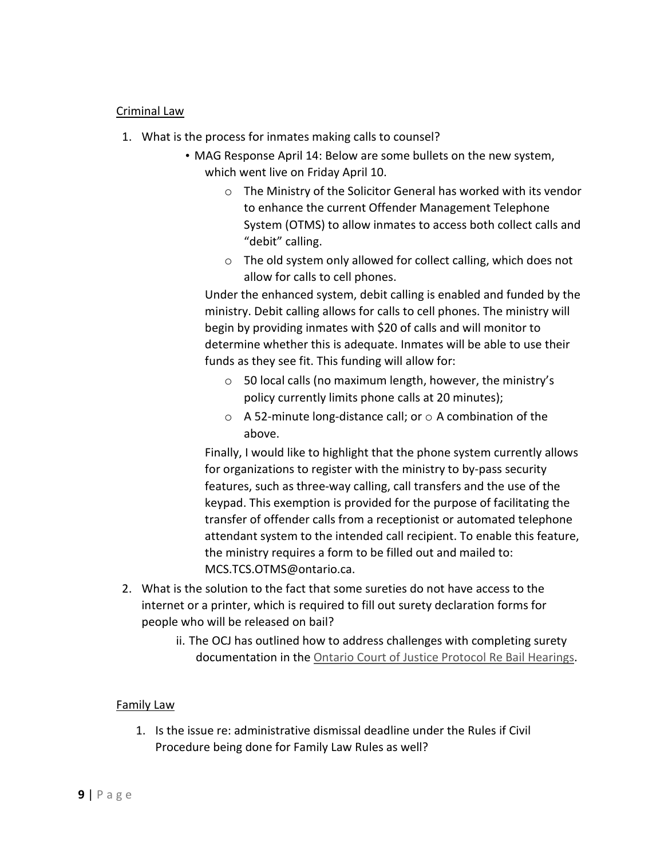#### Criminal Law

- 1. What is the process for inmates making calls to counsel?
	- MAG Response April 14: Below are some bullets on the new system, which went live on Friday April 10.
		- o The Ministry of the Solicitor General has worked with its vendor to enhance the current Offender Management Telephone System (OTMS) to allow inmates to access both collect calls and "debit" calling.
		- o The old system only allowed for collect calling, which does not allow for calls to cell phones.

Under the enhanced system, debit calling is enabled and funded by the ministry. Debit calling allows for calls to cell phones. The ministry will begin by providing inmates with \$20 of calls and will monitor to determine whether this is adequate. Inmates will be able to use their funds as they see fit. This funding will allow for:

- o 50 local calls (no maximum length, however, the ministry's policy currently limits phone calls at 20 minutes);
- $\circ$  A 52-minute long-distance call; or  $\circ$  A combination of the above.

Finally, I would like to highlight that the phone system currently allows for organizations to register with the ministry to by-pass security features, such as three-way calling, call transfers and the use of the keypad. This exemption is provided for the purpose of facilitating the transfer of offender calls from a receptionist or automated telephone attendant system to the intended call recipient. To enable this feature, the ministry requires a form to be filled out and mailed to: MCS.TCS.OTMS@ontario.ca.

- 2. What is the solution to the fact that some sureties do not have access to the internet or a printer, which is required to fill out surety declaration forms for people who will be released on bail?
	- ii. The OCJ has outlined how to address challenges with completing surety documentation in the Ontario Court of Justice Protocol Re Bail Hearings.

#### Family Law

1. Is the issue re: administrative dismissal deadline under the Rules if Civil Procedure being done for Family Law Rules as well?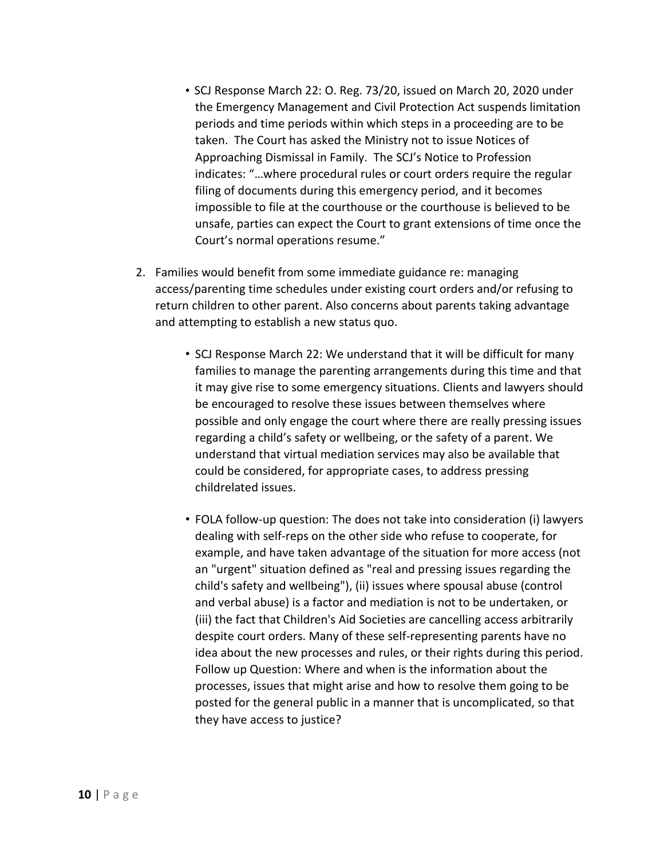- SCJ Response March 22: O. Reg. 73/20, issued on March 20, 2020 under the Emergency Management and Civil Protection Act suspends limitation periods and time periods within which steps in a proceeding are to be taken. The Court has asked the Ministry not to issue Notices of Approaching Dismissal in Family. The SCJ's Notice to Profession indicates: "…where procedural rules or court orders require the regular filing of documents during this emergency period, and it becomes impossible to file at the courthouse or the courthouse is believed to be unsafe, parties can expect the Court to grant extensions of time once the Court's normal operations resume."
- 2. Families would benefit from some immediate guidance re: managing access/parenting time schedules under existing court orders and/or refusing to return children to other parent. Also concerns about parents taking advantage and attempting to establish a new status quo.
	- SCJ Response March 22: We understand that it will be difficult for many families to manage the parenting arrangements during this time and that it may give rise to some emergency situations. Clients and lawyers should be encouraged to resolve these issues between themselves where possible and only engage the court where there are really pressing issues regarding a child's safety or wellbeing, or the safety of a parent. We understand that virtual mediation services may also be available that could be considered, for appropriate cases, to address pressing childrelated issues.
	- FOLA follow-up question: The does not take into consideration (i) lawyers dealing with self-reps on the other side who refuse to cooperate, for example, and have taken advantage of the situation for more access (not an "urgent" situation defined as "real and pressing issues regarding the child's safety and wellbeing"), (ii) issues where spousal abuse (control and verbal abuse) is a factor and mediation is not to be undertaken, or (iii) the fact that Children's Aid Societies are cancelling access arbitrarily despite court orders. Many of these self-representing parents have no idea about the new processes and rules, or their rights during this period. Follow up Question: Where and when is the information about the processes, issues that might arise and how to resolve them going to be posted for the general public in a manner that is uncomplicated, so that they have access to justice?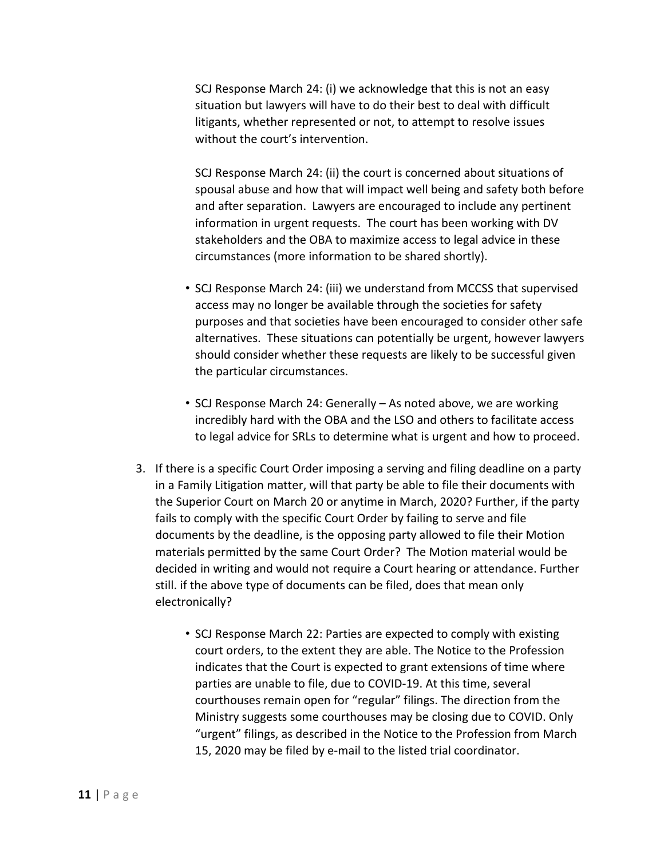SCJ Response March 24: (i) we acknowledge that this is not an easy situation but lawyers will have to do their best to deal with difficult litigants, whether represented or not, to attempt to resolve issues without the court's intervention.

SCJ Response March 24: (ii) the court is concerned about situations of spousal abuse and how that will impact well being and safety both before and after separation. Lawyers are encouraged to include any pertinent information in urgent requests. The court has been working with DV stakeholders and the OBA to maximize access to legal advice in these circumstances (more information to be shared shortly).

- SCJ Response March 24: (iii) we understand from MCCSS that supervised access may no longer be available through the societies for safety purposes and that societies have been encouraged to consider other safe alternatives. These situations can potentially be urgent, however lawyers should consider whether these requests are likely to be successful given the particular circumstances.
- SCJ Response March 24: Generally As noted above, we are working incredibly hard with the OBA and the LSO and others to facilitate access to legal advice for SRLs to determine what is urgent and how to proceed.
- 3. If there is a specific Court Order imposing a serving and filing deadline on a party in a Family Litigation matter, will that party be able to file their documents with the Superior Court on March 20 or anytime in March, 2020? Further, if the party fails to comply with the specific Court Order by failing to serve and file documents by the deadline, is the opposing party allowed to file their Motion materials permitted by the same Court Order? The Motion material would be decided in writing and would not require a Court hearing or attendance. Further still. if the above type of documents can be filed, does that mean only electronically?
	- SCJ Response March 22: Parties are expected to comply with existing court orders, to the extent they are able. The Notice to the Profession indicates that the Court is expected to grant extensions of time where parties are unable to file, due to COVID-19. At this time, several courthouses remain open for "regular" filings. The direction from the Ministry suggests some courthouses may be closing due to COVID. Only "urgent" filings, as described in the Notice to the Profession from March 15, 2020 may be filed by e-mail to the listed trial coordinator.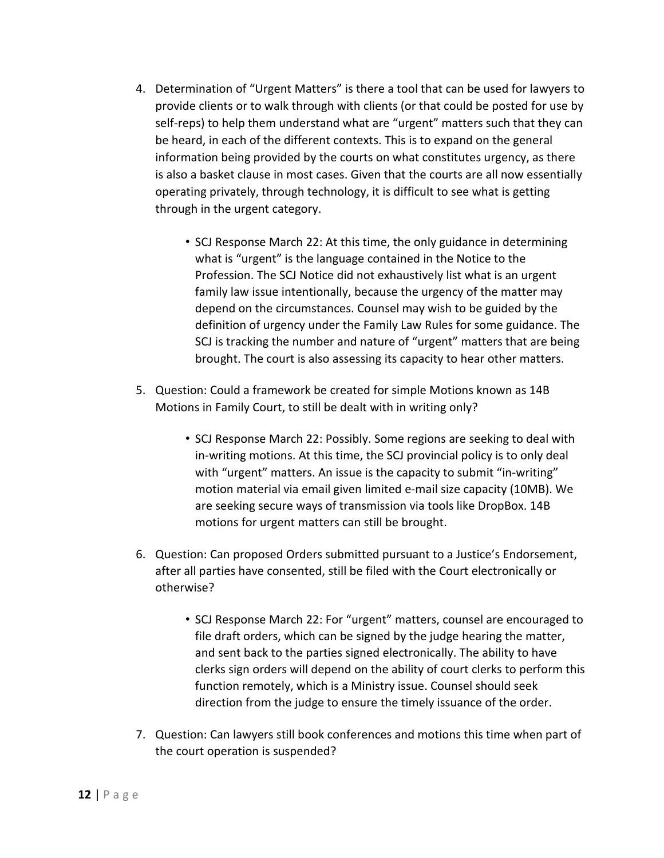- 4. Determination of "Urgent Matters" is there a tool that can be used for lawyers to provide clients or to walk through with clients (or that could be posted for use by self-reps) to help them understand what are "urgent" matters such that they can be heard, in each of the different contexts. This is to expand on the general information being provided by the courts on what constitutes urgency, as there is also a basket clause in most cases. Given that the courts are all now essentially operating privately, through technology, it is difficult to see what is getting through in the urgent category.
	- SCJ Response March 22: At this time, the only guidance in determining what is "urgent" is the language contained in the Notice to the Profession. The SCJ Notice did not exhaustively list what is an urgent family law issue intentionally, because the urgency of the matter may depend on the circumstances. Counsel may wish to be guided by the definition of urgency under the Family Law Rules for some guidance. The SCJ is tracking the number and nature of "urgent" matters that are being brought. The court is also assessing its capacity to hear other matters.
- 5. Question: Could a framework be created for simple Motions known as 14B Motions in Family Court, to still be dealt with in writing only?
	- SCJ Response March 22: Possibly. Some regions are seeking to deal with in-writing motions. At this time, the SCJ provincial policy is to only deal with "urgent" matters. An issue is the capacity to submit "in-writing" motion material via email given limited e-mail size capacity (10MB). We are seeking secure ways of transmission via tools like DropBox. 14B motions for urgent matters can still be brought.
- 6. Question: Can proposed Orders submitted pursuant to a Justice's Endorsement, after all parties have consented, still be filed with the Court electronically or otherwise?
	- SCJ Response March 22: For "urgent" matters, counsel are encouraged to file draft orders, which can be signed by the judge hearing the matter, and sent back to the parties signed electronically. The ability to have clerks sign orders will depend on the ability of court clerks to perform this function remotely, which is a Ministry issue. Counsel should seek direction from the judge to ensure the timely issuance of the order.
- 7. Question: Can lawyers still book conferences and motions this time when part of the court operation is suspended?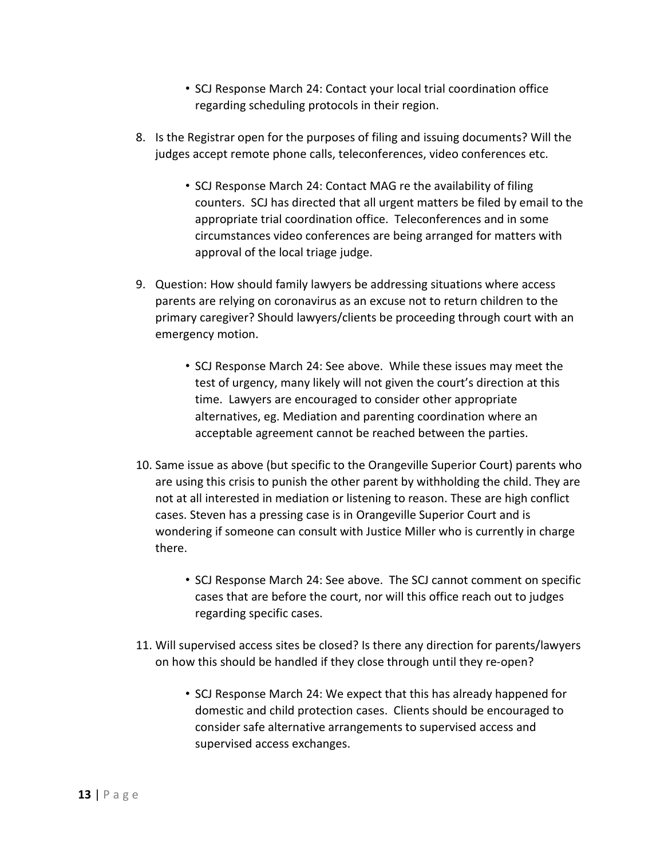- SCJ Response March 24: Contact your local trial coordination office regarding scheduling protocols in their region.
- 8. Is the Registrar open for the purposes of filing and issuing documents? Will the judges accept remote phone calls, teleconferences, video conferences etc.
	- SCJ Response March 24: Contact MAG re the availability of filing counters. SCJ has directed that all urgent matters be filed by email to the appropriate trial coordination office. Teleconferences and in some circumstances video conferences are being arranged for matters with approval of the local triage judge.
- 9. Question: How should family lawyers be addressing situations where access parents are relying on coronavirus as an excuse not to return children to the primary caregiver? Should lawyers/clients be proceeding through court with an emergency motion.
	- SCJ Response March 24: See above. While these issues may meet the test of urgency, many likely will not given the court's direction at this time. Lawyers are encouraged to consider other appropriate alternatives, eg. Mediation and parenting coordination where an acceptable agreement cannot be reached between the parties.
- 10. Same issue as above (but specific to the Orangeville Superior Court) parents who are using this crisis to punish the other parent by withholding the child. They are not at all interested in mediation or listening to reason. These are high conflict cases. Steven has a pressing case is in Orangeville Superior Court and is wondering if someone can consult with Justice Miller who is currently in charge there.
	- SCJ Response March 24: See above. The SCJ cannot comment on specific cases that are before the court, nor will this office reach out to judges regarding specific cases.
- 11. Will supervised access sites be closed? Is there any direction for parents/lawyers on how this should be handled if they close through until they re-open?
	- SCJ Response March 24: We expect that this has already happened for domestic and child protection cases. Clients should be encouraged to consider safe alternative arrangements to supervised access and supervised access exchanges.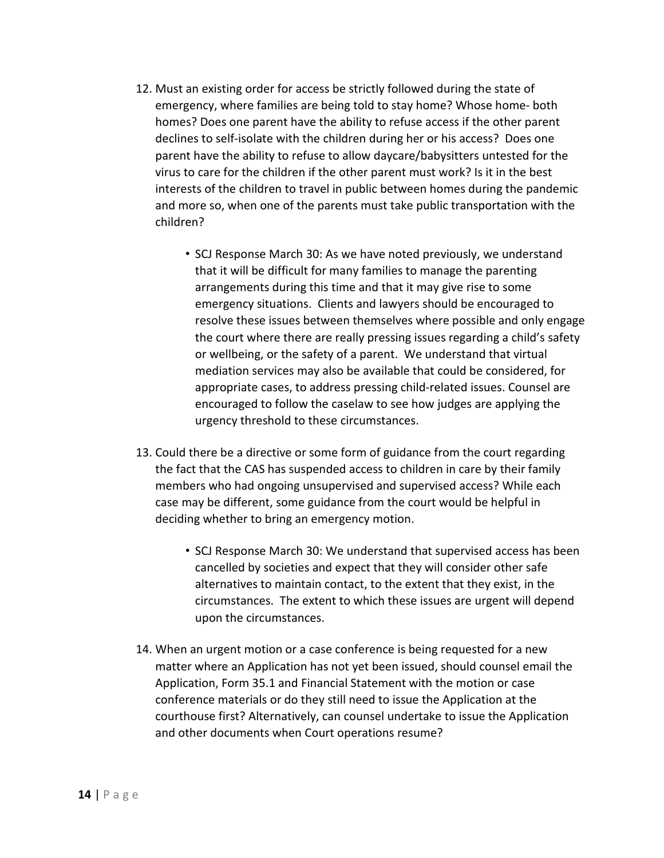- 12. Must an existing order for access be strictly followed during the state of emergency, where families are being told to stay home? Whose home- both homes? Does one parent have the ability to refuse access if the other parent declines to self-isolate with the children during her or his access? Does one parent have the ability to refuse to allow daycare/babysitters untested for the virus to care for the children if the other parent must work? Is it in the best interests of the children to travel in public between homes during the pandemic and more so, when one of the parents must take public transportation with the children?
	- SCJ Response March 30: As we have noted previously, we understand that it will be difficult for many families to manage the parenting arrangements during this time and that it may give rise to some emergency situations. Clients and lawyers should be encouraged to resolve these issues between themselves where possible and only engage the court where there are really pressing issues regarding a child's safety or wellbeing, or the safety of a parent. We understand that virtual mediation services may also be available that could be considered, for appropriate cases, to address pressing child-related issues. Counsel are encouraged to follow the caselaw to see how judges are applying the urgency threshold to these circumstances.
- 13. Could there be a directive or some form of guidance from the court regarding the fact that the CAS has suspended access to children in care by their family members who had ongoing unsupervised and supervised access? While each case may be different, some guidance from the court would be helpful in deciding whether to bring an emergency motion.
	- SCJ Response March 30: We understand that supervised access has been cancelled by societies and expect that they will consider other safe alternatives to maintain contact, to the extent that they exist, in the circumstances. The extent to which these issues are urgent will depend upon the circumstances.
- 14. When an urgent motion or a case conference is being requested for a new matter where an Application has not yet been issued, should counsel email the Application, Form 35.1 and Financial Statement with the motion or case conference materials or do they still need to issue the Application at the courthouse first? Alternatively, can counsel undertake to issue the Application and other documents when Court operations resume?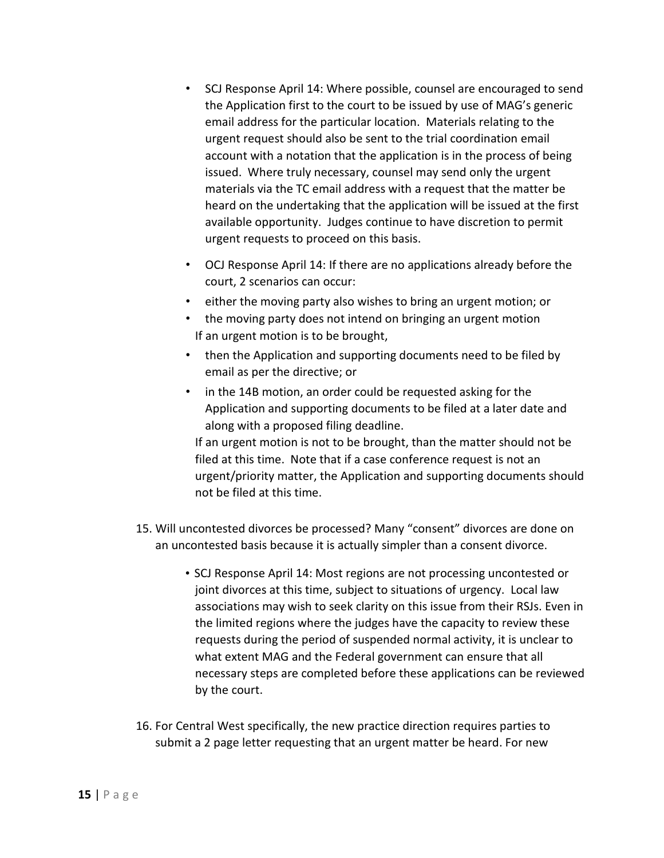- SCJ Response April 14: Where possible, counsel are encouraged to send the Application first to the court to be issued by use of MAG's generic email address for the particular location. Materials relating to the urgent request should also be sent to the trial coordination email account with a notation that the application is in the process of being issued. Where truly necessary, counsel may send only the urgent materials via the TC email address with a request that the matter be heard on the undertaking that the application will be issued at the first available opportunity. Judges continue to have discretion to permit urgent requests to proceed on this basis.
- OCJ Response April 14: If there are no applications already before the court, 2 scenarios can occur:
- either the moving party also wishes to bring an urgent motion; or
- the moving party does not intend on bringing an urgent motion If an urgent motion is to be brought,
- then the Application and supporting documents need to be filed by email as per the directive; or
- in the 14B motion, an order could be requested asking for the Application and supporting documents to be filed at a later date and along with a proposed filing deadline.

If an urgent motion is not to be brought, than the matter should not be filed at this time. Note that if a case conference request is not an urgent/priority matter, the Application and supporting documents should not be filed at this time.

- 15. Will uncontested divorces be processed? Many "consent" divorces are done on an uncontested basis because it is actually simpler than a consent divorce.
	- SCJ Response April 14: Most regions are not processing uncontested or joint divorces at this time, subject to situations of urgency. Local law associations may wish to seek clarity on this issue from their RSJs. Even in the limited regions where the judges have the capacity to review these requests during the period of suspended normal activity, it is unclear to what extent MAG and the Federal government can ensure that all necessary steps are completed before these applications can be reviewed by the court.
- 16. For Central West specifically, the new practice direction requires parties to submit a 2 page letter requesting that an urgent matter be heard. For new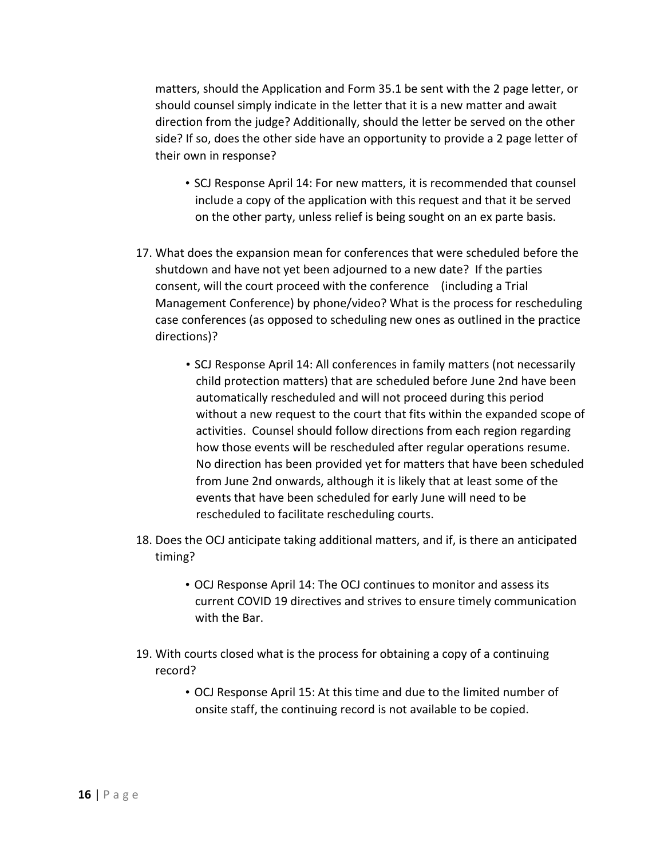matters, should the Application and Form 35.1 be sent with the 2 page letter, or should counsel simply indicate in the letter that it is a new matter and await direction from the judge? Additionally, should the letter be served on the other side? If so, does the other side have an opportunity to provide a 2 page letter of their own in response?

- SCJ Response April 14: For new matters, it is recommended that counsel include a copy of the application with this request and that it be served on the other party, unless relief is being sought on an ex parte basis.
- 17. What does the expansion mean for conferences that were scheduled before the shutdown and have not yet been adjourned to a new date? If the parties consent, will the court proceed with the conference (including a Trial Management Conference) by phone/video? What is the process for rescheduling case conferences (as opposed to scheduling new ones as outlined in the practice directions)?
	- SCJ Response April 14: All conferences in family matters (not necessarily child protection matters) that are scheduled before June 2nd have been automatically rescheduled and will not proceed during this period without a new request to the court that fits within the expanded scope of activities. Counsel should follow directions from each region regarding how those events will be rescheduled after regular operations resume. No direction has been provided yet for matters that have been scheduled from June 2nd onwards, although it is likely that at least some of the events that have been scheduled for early June will need to be rescheduled to facilitate rescheduling courts.
- 18. Does the OCJ anticipate taking additional matters, and if, is there an anticipated timing?
	- OCJ Response April 14: The OCJ continues to monitor and assess its current COVID 19 directives and strives to ensure timely communication with the Bar.
- 19. With courts closed what is the process for obtaining a copy of a continuing record?
	- OCJ Response April 15: At this time and due to the limited number of onsite staff, the continuing record is not available to be copied.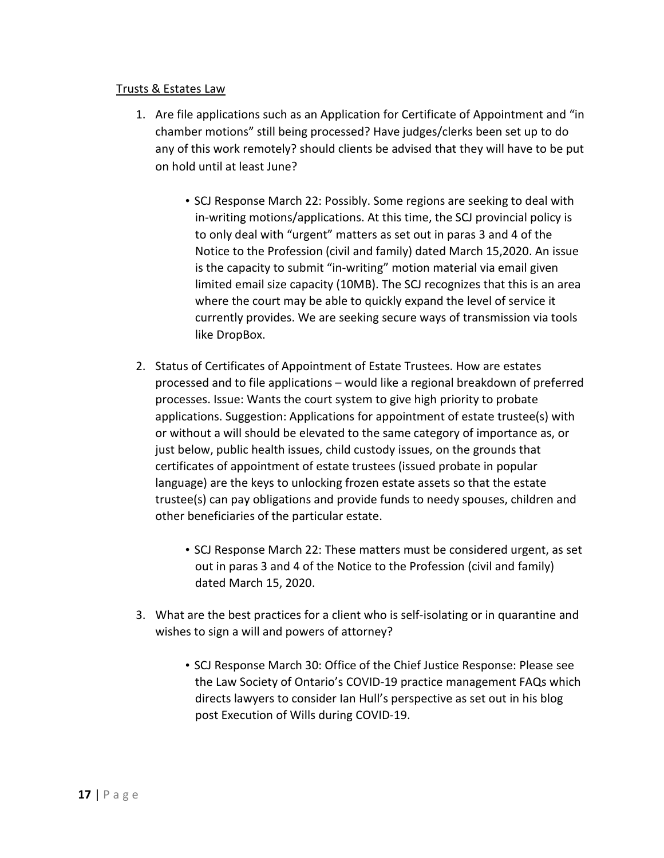#### Trusts & Estates Law

- 1. Are file applications such as an Application for Certificate of Appointment and "in chamber motions" still being processed? Have judges/clerks been set up to do any of this work remotely? should clients be advised that they will have to be put on hold until at least June?
	- SCJ Response March 22: Possibly. Some regions are seeking to deal with in-writing motions/applications. At this time, the SCJ provincial policy is to only deal with "urgent" matters as set out in paras 3 and 4 of the Notice to the Profession (civil and family) dated March 15,2020. An issue is the capacity to submit "in-writing" motion material via email given limited email size capacity (10MB). The SCJ recognizes that this is an area where the court may be able to quickly expand the level of service it currently provides. We are seeking secure ways of transmission via tools like DropBox.
- 2. Status of Certificates of Appointment of Estate Trustees. How are estates processed and to file applications – would like a regional breakdown of preferred processes. Issue: Wants the court system to give high priority to probate applications. Suggestion: Applications for appointment of estate trustee(s) with or without a will should be elevated to the same category of importance as, or just below, public health issues, child custody issues, on the grounds that certificates of appointment of estate trustees (issued probate in popular language) are the keys to unlocking frozen estate assets so that the estate trustee(s) can pay obligations and provide funds to needy spouses, children and other beneficiaries of the particular estate.
	- SCJ Response March 22: These matters must be considered urgent, as set out in paras 3 and 4 of the Notice to the Profession (civil and family) dated March 15, 2020.
- 3. What are the best practices for a client who is self-isolating or in quarantine and wishes to sign a will and powers of attorney?
	- SCJ Response March 30: Office of the Chief Justice Response: Please see the Law Society of Ontario's COVID-19 practice management FAQs which directs lawyers to consider Ian Hull's perspective as set out in his blog post Execution of Wills during COVID-19.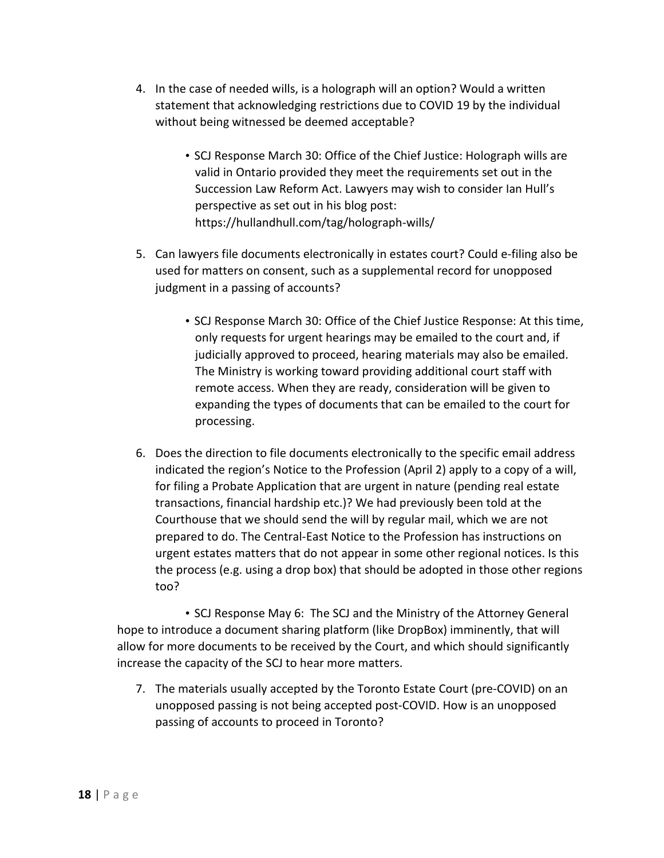- 4. In the case of needed wills, is a holograph will an option? Would a written statement that acknowledging restrictions due to COVID 19 by the individual without being witnessed be deemed acceptable?
	- SCJ Response March 30: Office of the Chief Justice: Holograph wills are valid in Ontario provided they meet the requirements set out in the Succession Law Reform Act. Lawyers may wish to consider Ian Hull's perspective as set out in his blog post: https://hullandhull.com/tag/holograph-wills/
- 5. Can lawyers file documents electronically in estates court? Could e-filing also be used for matters on consent, such as a supplemental record for unopposed judgment in a passing of accounts?
	- SCJ Response March 30: Office of the Chief Justice Response: At this time, only requests for urgent hearings may be emailed to the court and, if judicially approved to proceed, hearing materials may also be emailed. The Ministry is working toward providing additional court staff with remote access. When they are ready, consideration will be given to expanding the types of documents that can be emailed to the court for processing.
- 6. Does the direction to file documents electronically to the specific email address indicated the region's Notice to the Profession (April 2) apply to a copy of a will, for filing a Probate Application that are urgent in nature (pending real estate transactions, financial hardship etc.)? We had previously been told at the Courthouse that we should send the will by regular mail, which we are not prepared to do. The Central-East Notice to the Profession has instructions on urgent estates matters that do not appear in some other regional notices. Is this the process (e.g. using a drop box) that should be adopted in those other regions too?

• SCJ Response May 6: The SCJ and the Ministry of the Attorney General hope to introduce a document sharing platform (like DropBox) imminently, that will allow for more documents to be received by the Court, and which should significantly increase the capacity of the SCJ to hear more matters.

7. The materials usually accepted by the Toronto Estate Court (pre-COVID) on an unopposed passing is not being accepted post-COVID. How is an unopposed passing of accounts to proceed in Toronto?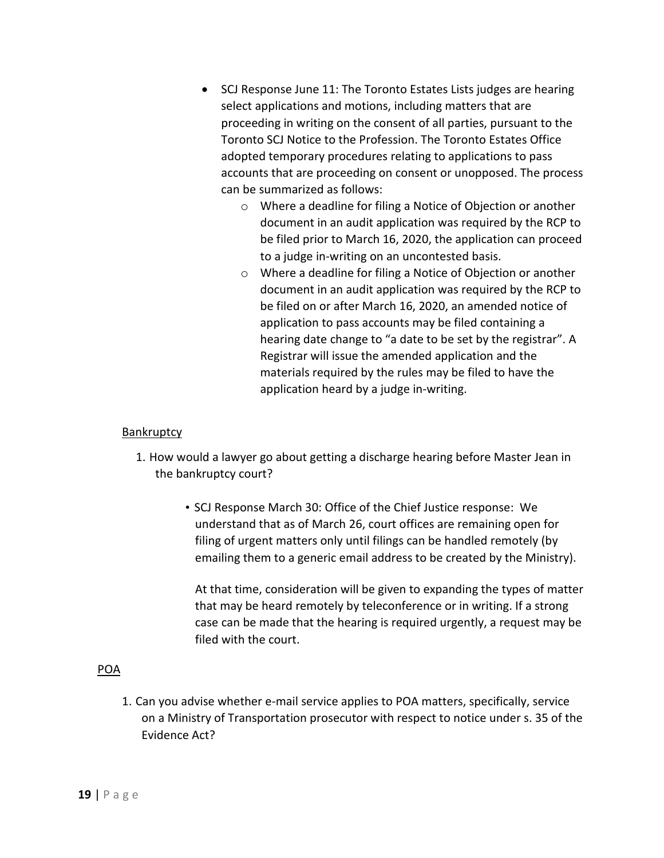- SCJ Response June 11: The Toronto Estates Lists judges are hearing select applications and motions, including matters that are proceeding in writing on the consent of all parties, pursuant to the Toronto SCJ Notice to the Profession. The Toronto Estates Office adopted temporary procedures relating to applications to pass accounts that are proceeding on consent or unopposed. The process can be summarized as follows:
	- o Where a deadline for filing a Notice of Objection or another document in an audit application was required by the RCP to be filed prior to March 16, 2020, the application can proceed to a judge in-writing on an uncontested basis.
	- o Where a deadline for filing a Notice of Objection or another document in an audit application was required by the RCP to be filed on or after March 16, 2020, an amended notice of application to pass accounts may be filed containing a hearing date change to "a date to be set by the registrar". A Registrar will issue the amended application and the materials required by the rules may be filed to have the application heard by a judge in-writing.

#### Bankruptcy

- 1. How would a lawyer go about getting a discharge hearing before Master Jean in the bankruptcy court?
	- SCJ Response March 30: Office of the Chief Justice response: We understand that as of March 26, court offices are remaining open for filing of urgent matters only until filings can be handled remotely (by emailing them to a generic email address to be created by the Ministry).

At that time, consideration will be given to expanding the types of matter that may be heard remotely by teleconference or in writing. If a strong case can be made that the hearing is required urgently, a request may be filed with the court.

#### POA

1. Can you advise whether e-mail service applies to POA matters, specifically, service on a Ministry of Transportation prosecutor with respect to notice under s. 35 of the Evidence Act?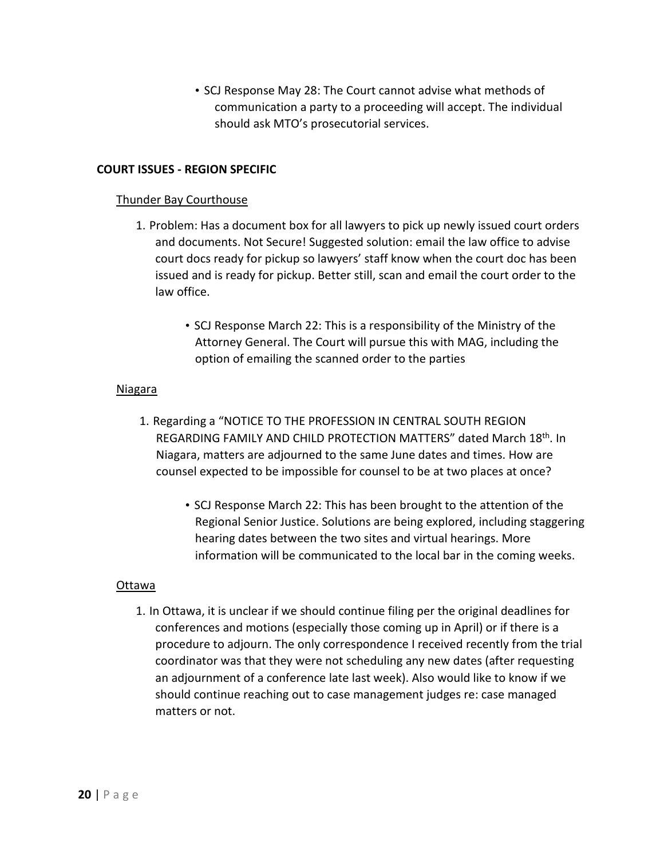• SCJ Response May 28: The Court cannot advise what methods of communication a party to a proceeding will accept. The individual should ask MTO's prosecutorial services.

#### **COURT ISSUES - REGION SPECIFIC**

#### Thunder Bay Courthouse

- 1. Problem: Has a document box for all lawyers to pick up newly issued court orders and documents. Not Secure! Suggested solution: email the law office to advise court docs ready for pickup so lawyers' staff know when the court doc has been issued and is ready for pickup. Better still, scan and email the court order to the law office.
	- SCJ Response March 22: This is a responsibility of the Ministry of the Attorney General. The Court will pursue this with MAG, including the option of emailing the scanned order to the parties

#### Niagara

- 1. Regarding a "NOTICE TO THE PROFESSION IN CENTRAL SOUTH REGION REGARDING FAMILY AND CHILD PROTECTION MATTERS" dated March 18th. In Niagara, matters are adjourned to the same June dates and times. How are counsel expected to be impossible for counsel to be at two places at once?
	- SCJ Response March 22: This has been brought to the attention of the Regional Senior Justice. Solutions are being explored, including staggering hearing dates between the two sites and virtual hearings. More information will be communicated to the local bar in the coming weeks.

#### Ottawa

1. In Ottawa, it is unclear if we should continue filing per the original deadlines for conferences and motions (especially those coming up in April) or if there is a procedure to adjourn. The only correspondence I received recently from the trial coordinator was that they were not scheduling any new dates (after requesting an adjournment of a conference late last week). Also would like to know if we should continue reaching out to case management judges re: case managed matters or not.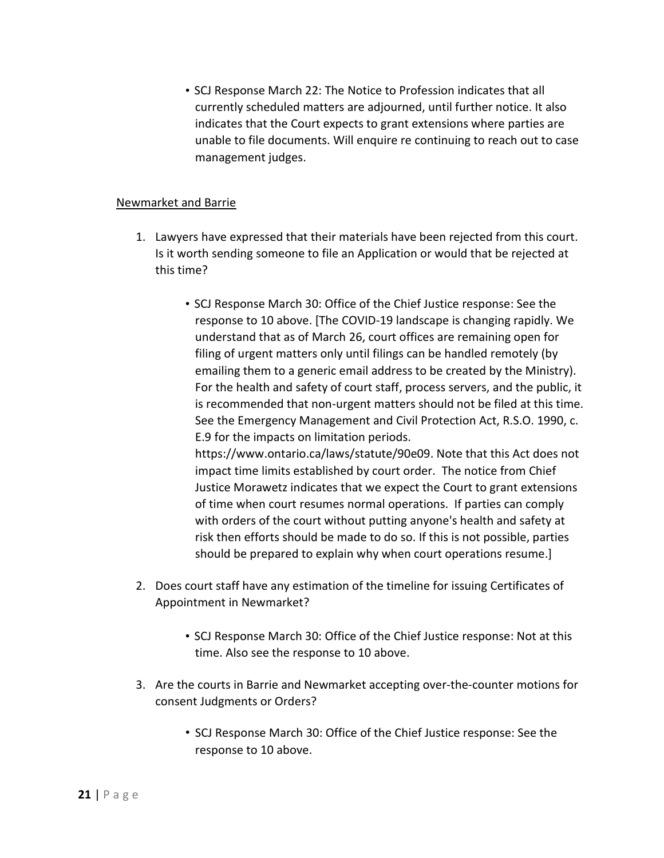• SCJ Response March 22: The Notice to Profession indicates that all currently scheduled matters are adjourned, until further notice. It also indicates that the Court expects to grant extensions where parties are unable to file documents. Will enquire re continuing to reach out to case management judges.

#### Newmarket and Barrie

- 1. Lawyers have expressed that their materials have been rejected from this court. Is it worth sending someone to file an Application or would that be rejected at this time?
	- SCJ Response March 30: Office of the Chief Justice response: See the response to 10 above. [The COVID-19 landscape is changing rapidly. We understand that as of March 26, court offices are remaining open for filing of urgent matters only until filings can be handled remotely (by emailing them to a generic email address to be created by the Ministry). For the health and safety of court staff, process servers, and the public, it is recommended that non-urgent matters should not be filed at this time. See the Emergency Management and Civil Protection Act, R.S.O. 1990, c. E.9 for the impacts on limitation periods. https://www.ontario.ca/laws/statute/90e09. Note that this Act does not

impact time limits established by court order. The notice from Chief Justice Morawetz indicates that we expect the Court to grant extensions of time when court resumes normal operations. If parties can comply with orders of the court without putting anyone's health and safety at risk then efforts should be made to do so. If this is not possible, parties should be prepared to explain why when court operations resume.]

- 2. Does court staff have any estimation of the timeline for issuing Certificates of Appointment in Newmarket?
	- SCJ Response March 30: Office of the Chief Justice response: Not at this time. Also see the response to 10 above.
- 3. Are the courts in Barrie and Newmarket accepting over-the-counter motions for consent Judgments or Orders?
	- SCJ Response March 30: Office of the Chief Justice response: See the response to 10 above.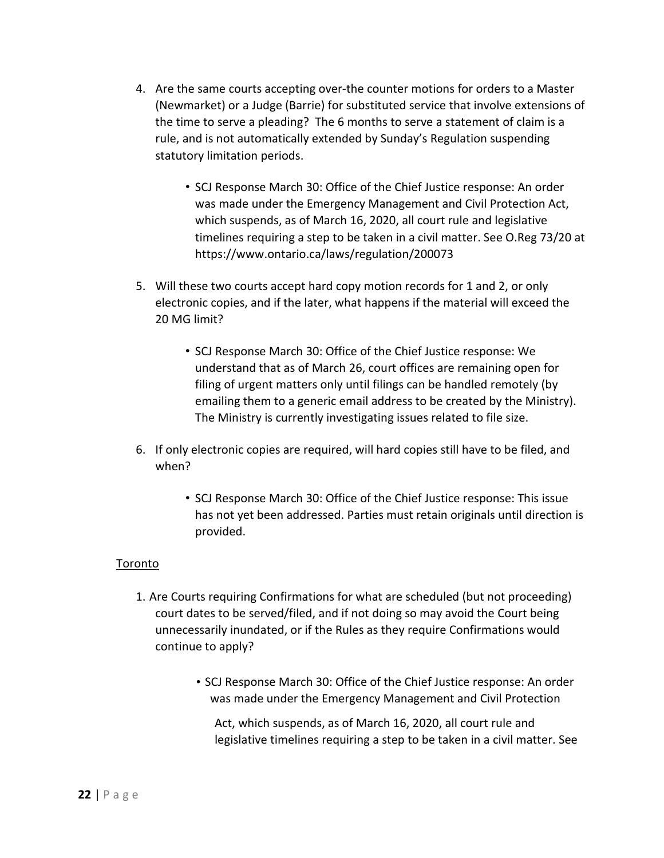- 4. Are the same courts accepting over-the counter motions for orders to a Master (Newmarket) or a Judge (Barrie) for substituted service that involve extensions of the time to serve a pleading? The 6 months to serve a statement of claim is a rule, and is not automatically extended by Sunday's Regulation suspending statutory limitation periods.
	- SCJ Response March 30: Office of the Chief Justice response: An order was made under the Emergency Management and Civil Protection Act, which suspends, as of March 16, 2020, all court rule and legislative timelines requiring a step to be taken in a civil matter. See O.Reg 73/20 at https://www.ontario.ca/laws/regulation/200073
- 5. Will these two courts accept hard copy motion records for 1 and 2, or only electronic copies, and if the later, what happens if the material will exceed the 20 MG limit?
	- SCJ Response March 30: Office of the Chief Justice response: We understand that as of March 26, court offices are remaining open for filing of urgent matters only until filings can be handled remotely (by emailing them to a generic email address to be created by the Ministry). The Ministry is currently investigating issues related to file size.
- 6. If only electronic copies are required, will hard copies still have to be filed, and when?
	- SCJ Response March 30: Office of the Chief Justice response: This issue has not yet been addressed. Parties must retain originals until direction is provided.

## Toronto

- 1. Are Courts requiring Confirmations for what are scheduled (but not proceeding) court dates to be served/filed, and if not doing so may avoid the Court being unnecessarily inundated, or if the Rules as they require Confirmations would continue to apply?
	- SCJ Response March 30: Office of the Chief Justice response: An order was made under the Emergency Management and Civil Protection

Act, which suspends, as of March 16, 2020, all court rule and legislative timelines requiring a step to be taken in a civil matter. See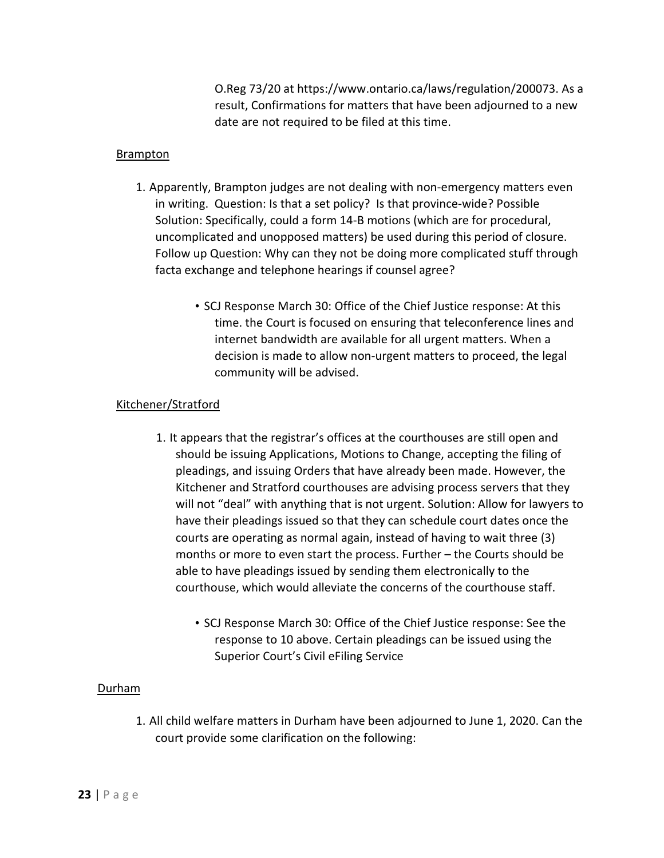O.Reg 73/20 at https://www.ontario.ca/laws/regulation/200073. As a result, Confirmations for matters that have been adjourned to a new date are not required to be filed at this time.

#### **Brampton**

- 1. Apparently, Brampton judges are not dealing with non-emergency matters even in writing. Question: Is that a set policy? Is that province-wide? Possible Solution: Specifically, could a form 14-B motions (which are for procedural, uncomplicated and unopposed matters) be used during this period of closure. Follow up Question: Why can they not be doing more complicated stuff through facta exchange and telephone hearings if counsel agree?
	- SCJ Response March 30: Office of the Chief Justice response: At this time. the Court is focused on ensuring that teleconference lines and internet bandwidth are available for all urgent matters. When a decision is made to allow non-urgent matters to proceed, the legal community will be advised.

#### Kitchener/Stratford

- 1. It appears that the registrar's offices at the courthouses are still open and should be issuing Applications, Motions to Change, accepting the filing of pleadings, and issuing Orders that have already been made. However, the Kitchener and Stratford courthouses are advising process servers that they will not "deal" with anything that is not urgent. Solution: Allow for lawyers to have their pleadings issued so that they can schedule court dates once the courts are operating as normal again, instead of having to wait three (3) months or more to even start the process. Further – the Courts should be able to have pleadings issued by sending them electronically to the courthouse, which would alleviate the concerns of the courthouse staff.
	- SCJ Response March 30: Office of the Chief Justice response: See the response to 10 above. Certain pleadings can be issued using the Superior Court's Civil eFiling Service

#### Durham

1. All child welfare matters in Durham have been adjourned to June 1, 2020. Can the court provide some clarification on the following: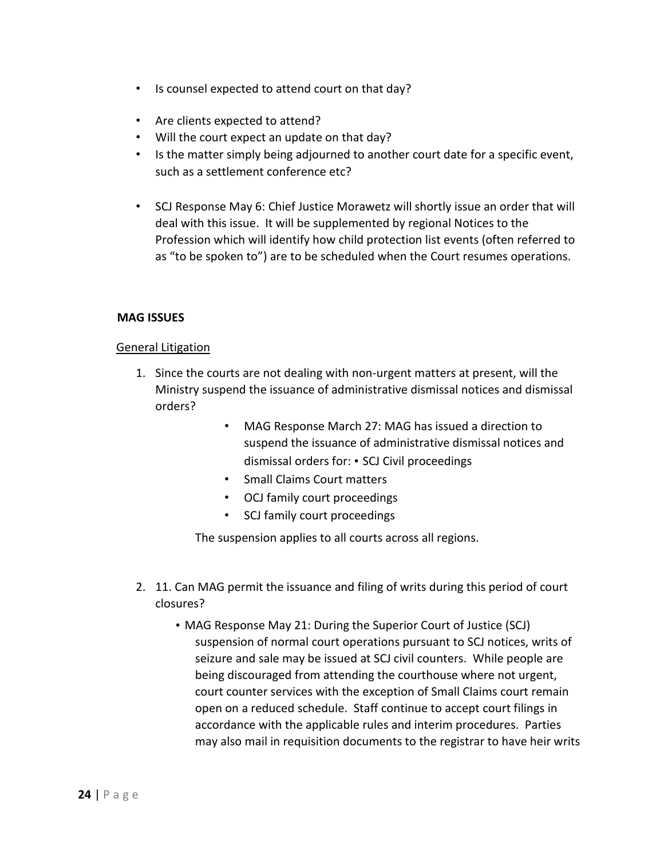- Is counsel expected to attend court on that day?
- Are clients expected to attend?
- Will the court expect an update on that day?
- Is the matter simply being adjourned to another court date for a specific event, such as a settlement conference etc?
- SCJ Response May 6: Chief Justice Morawetz will shortly issue an order that will deal with this issue. It will be supplemented by regional Notices to the Profession which will identify how child protection list events (often referred to as "to be spoken to") are to be scheduled when the Court resumes operations.

#### **MAG ISSUES**

#### General Litigation

- 1. Since the courts are not dealing with non-urgent matters at present, will the Ministry suspend the issuance of administrative dismissal notices and dismissal orders?
	- MAG Response March 27: MAG has issued a direction to suspend the issuance of administrative dismissal notices and dismissal orders for: • SCJ Civil proceedings
	- Small Claims Court matters
	- OCJ family court proceedings
	- SCJ family court proceedings

The suspension applies to all courts across all regions.

- 2. 11. Can MAG permit the issuance and filing of writs during this period of court closures?
	- MAG Response May 21: During the Superior Court of Justice (SCJ) suspension of normal court operations pursuant to SCJ notices, writs of seizure and sale may be issued at SCJ civil counters. While people are being discouraged from attending the courthouse where not urgent, court counter services with the exception of Small Claims court remain open on a reduced schedule. Staff continue to accept court filings in accordance with the applicable rules and interim procedures. Parties may also mail in requisition documents to the registrar to have heir writs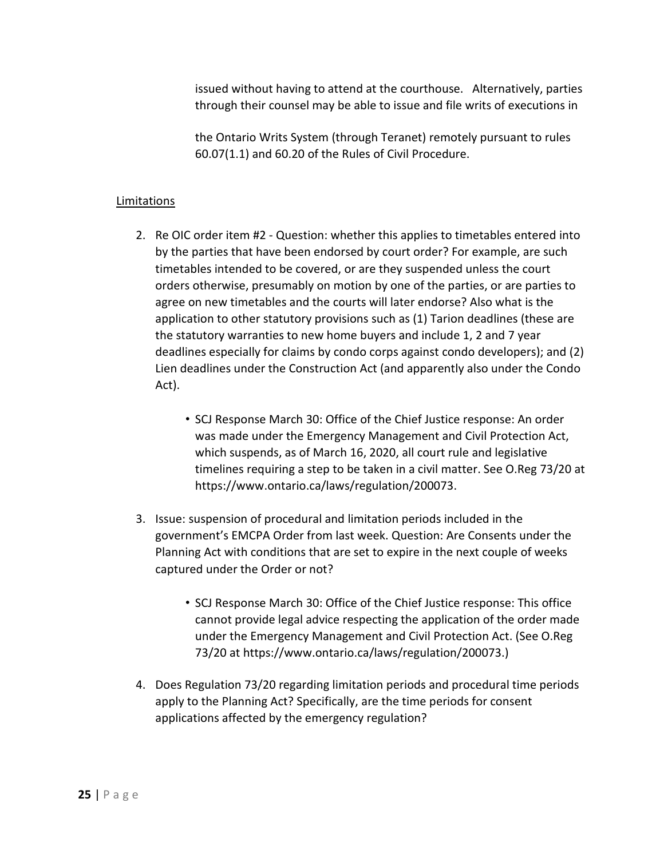issued without having to attend at the courthouse. Alternatively, parties through their counsel may be able to issue and file writs of executions in

the Ontario Writs System (through Teranet) remotely pursuant to rules 60.07(1.1) and 60.20 of the Rules of Civil Procedure.

#### **Limitations**

- 2. Re OIC order item #2 Question: whether this applies to timetables entered into by the parties that have been endorsed by court order? For example, are such timetables intended to be covered, or are they suspended unless the court orders otherwise, presumably on motion by one of the parties, or are parties to agree on new timetables and the courts will later endorse? Also what is the application to other statutory provisions such as (1) Tarion deadlines (these are the statutory warranties to new home buyers and include 1, 2 and 7 year deadlines especially for claims by condo corps against condo developers); and (2) Lien deadlines under the Construction Act (and apparently also under the Condo Act).
	- SCJ Response March 30: Office of the Chief Justice response: An order was made under the Emergency Management and Civil Protection Act, which suspends, as of March 16, 2020, all court rule and legislative timelines requiring a step to be taken in a civil matter. See O.Reg 73/20 at https://www.ontario.ca/laws/regulation/200073.
- 3. Issue: suspension of procedural and limitation periods included in the government's EMCPA Order from last week. Question: Are Consents under the Planning Act with conditions that are set to expire in the next couple of weeks captured under the Order or not?
	- SCJ Response March 30: Office of the Chief Justice response: This office cannot provide legal advice respecting the application of the order made under the Emergency Management and Civil Protection Act. (See O.Reg 73/20 at https://www.ontario.ca/laws/regulation/200073.)
- 4. Does Regulation 73/20 regarding limitation periods and procedural time periods apply to the Planning Act? Specifically, are the time periods for consent applications affected by the emergency regulation?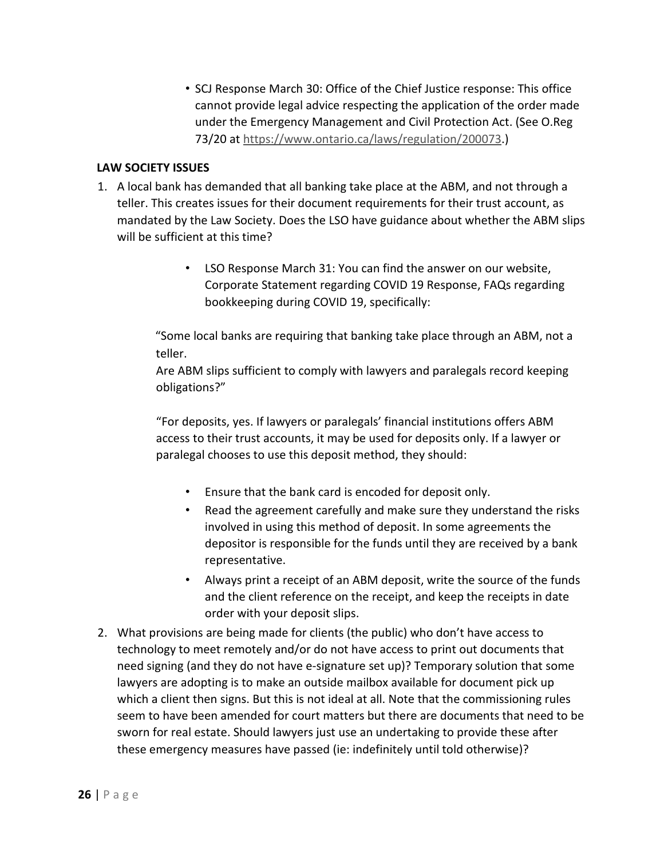• SCJ Response March 30: Office of the Chief Justice response: This office cannot provide legal advice respecting the application of the order made under the Emergency Management and Civil Protection Act. (See O.Reg 73/20 at https://www.ontario.ca/laws/regulation/200073.)

#### **LAW SOCIETY ISSUES**

- 1. A local bank has demanded that all banking take place at the ABM, and not through a teller. This creates issues for their document requirements for their trust account, as mandated by the Law Society. Does the LSO have guidance about whether the ABM slips will be sufficient at this time?
	- LSO Response March 31: You can find the answer on our website, Corporate Statement regarding COVID 19 Response, FAQs regarding bookkeeping during COVID 19, specifically:

"Some local banks are requiring that banking take place through an ABM, not a teller.

Are ABM slips sufficient to comply with lawyers and paralegals record keeping obligations?"

"For deposits, yes. If lawyers or paralegals' financial institutions offers ABM access to their trust accounts, it may be used for deposits only. If a lawyer or paralegal chooses to use this deposit method, they should:

- Ensure that the bank card is encoded for deposit only.
- Read the agreement carefully and make sure they understand the risks involved in using this method of deposit. In some agreements the depositor is responsible for the funds until they are received by a bank representative.
- Always print a receipt of an ABM deposit, write the source of the funds and the client reference on the receipt, and keep the receipts in date order with your deposit slips.
- 2. What provisions are being made for clients (the public) who don't have access to technology to meet remotely and/or do not have access to print out documents that need signing (and they do not have e-signature set up)? Temporary solution that some lawyers are adopting is to make an outside mailbox available for document pick up which a client then signs. But this is not ideal at all. Note that the commissioning rules seem to have been amended for court matters but there are documents that need to be sworn for real estate. Should lawyers just use an undertaking to provide these after these emergency measures have passed (ie: indefinitely until told otherwise)?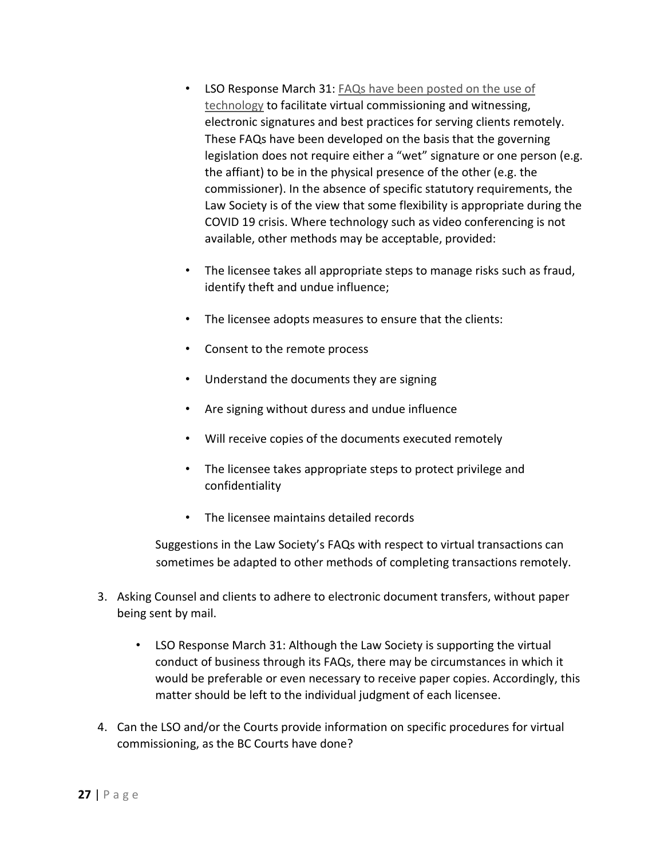- LSO Response March 31: FAQs have been posted on the use of technology to facilitate virtual commissioning and witnessing, electronic signatures and best practices for serving clients remotely. These FAQs have been developed on the basis that the governing legislation does not require either a "wet" signature or one person (e.g. the affiant) to be in the physical presence of the other (e.g. the commissioner). In the absence of specific statutory requirements, the Law Society is of the view that some flexibility is appropriate during the COVID 19 crisis. Where technology such as video conferencing is not available, other methods may be acceptable, provided:
- The licensee takes all appropriate steps to manage risks such as fraud, identify theft and undue influence;
- The licensee adopts measures to ensure that the clients:
- Consent to the remote process
- Understand the documents they are signing
- Are signing without duress and undue influence
- Will receive copies of the documents executed remotely
- The licensee takes appropriate steps to protect privilege and confidentiality
- The licensee maintains detailed records

Suggestions in the Law Society's FAQs with respect to virtual transactions can sometimes be adapted to other methods of completing transactions remotely.

- 3. Asking Counsel and clients to adhere to electronic document transfers, without paper being sent by mail.
	- LSO Response March 31: Although the Law Society is supporting the virtual conduct of business through its FAQs, there may be circumstances in which it would be preferable or even necessary to receive paper copies. Accordingly, this matter should be left to the individual judgment of each licensee.
- 4. Can the LSO and/or the Courts provide information on specific procedures for virtual commissioning, as the BC Courts have done?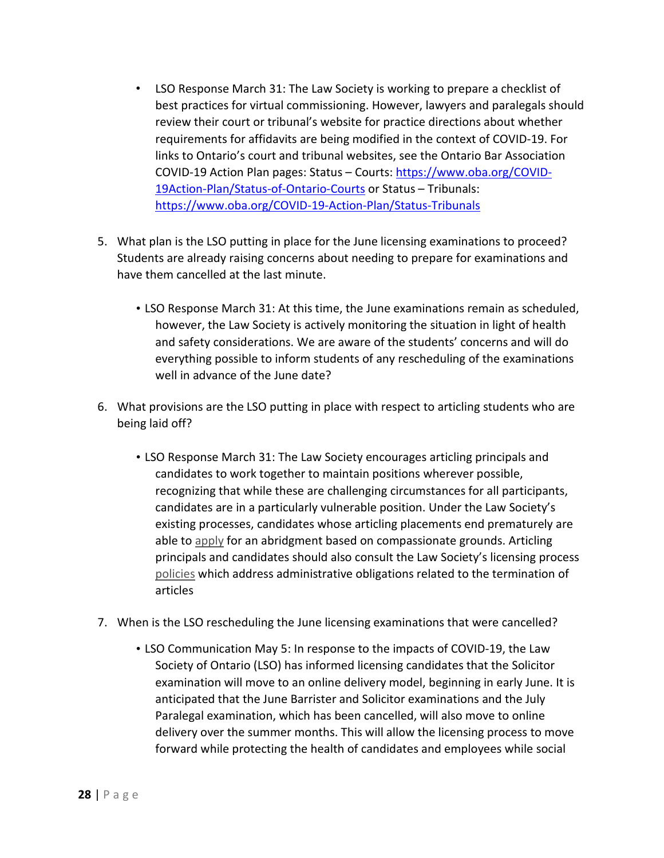- LSO Response March 31: The Law Society is working to prepare a checklist of best practices for virtual commissioning. However, lawyers and paralegals should review their court or tribunal's website for practice directions about whether requirements for affidavits are being modified in the context of COVID-19. For links to Ontario's court and tribunal websites, see the Ontario Bar Association COVID-19 Action Plan pages: Status – Courts: https://www.oba.org/COVID-19Action-Plan/Status-of-Ontario-Courts or Status – Tribunals: https://www.oba.org/COVID-19-Action-Plan/Status-Tribunals
- 5. What plan is the LSO putting in place for the June licensing examinations to proceed? Students are already raising concerns about needing to prepare for examinations and have them cancelled at the last minute.
	- LSO Response March 31: At this time, the June examinations remain as scheduled, however, the Law Society is actively monitoring the situation in light of health and safety considerations. We are aware of the students' concerns and will do everything possible to inform students of any rescheduling of the examinations well in advance of the June date?
- 6. What provisions are the LSO putting in place with respect to articling students who are being laid off?
	- LSO Response March 31: The Law Society encourages articling principals and candidates to work together to maintain positions wherever possible, recognizing that while these are challenging circumstances for all participants, candidates are in a particularly vulnerable position. Under the Law Society's existing processes, candidates whose articling placements end prematurely are able to apply for an abridgment based on compassionate grounds. Articling principals and candidates should also consult the Law Society's licensing process policies which address administrative obligations related to the termination of articles
- 7. When is the LSO rescheduling the June licensing examinations that were cancelled?
	- LSO Communication May 5: In response to the impacts of COVID-19, the Law Society of Ontario (LSO) has informed licensing candidates that the Solicitor examination will move to an online delivery model, beginning in early June. It is anticipated that the June Barrister and Solicitor examinations and the July Paralegal examination, which has been cancelled, will also move to online delivery over the summer months. This will allow the licensing process to move forward while protecting the health of candidates and employees while social